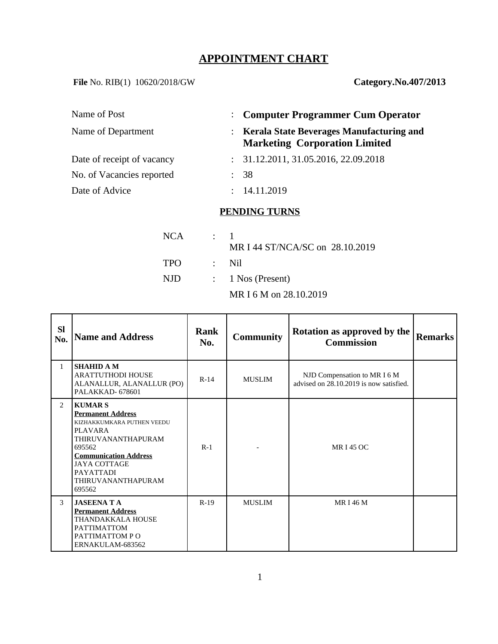## **APPOINTMENT CHART**

**File** No. RIB(1) 10620/2018/GW **Category.No.407/2013**

| Name of Post               |                      | : Computer Programmer Cum Operator                                                      |
|----------------------------|----------------------|-----------------------------------------------------------------------------------------|
| Name of Department         |                      | <b>Kerala State Beverages Manufacturing and</b><br><b>Marketing Corporation Limited</b> |
| Date of receipt of vacancy |                      | : 31.12.2011, 31.05.2016, 22.09.2018                                                    |
| No. of Vacancies reported  | $\ddot{\phantom{a}}$ | -38                                                                                     |
| Date of Advice             |                      | : 14.11.2019                                                                            |

### **PENDING TURNS**

| NCA | $\mathcal{L}$ |                                 |
|-----|---------------|---------------------------------|
|     |               | MR I 44 ST/NCA/SC on 28.10.2019 |
| TPO |               | : Nil                           |
| NJD |               | $: 1$ Nos (Present)             |
|     |               | MR I 6 M on 28.10.2019          |

| <b>SI</b><br>No. | <b>Name and Address</b>                                                                                                                                                                                                              | <b>Rank</b><br>No. | <b>Community</b> | Rotation as approved by the<br><b>Commission</b>                        | <b>Remarks</b> |
|------------------|--------------------------------------------------------------------------------------------------------------------------------------------------------------------------------------------------------------------------------------|--------------------|------------------|-------------------------------------------------------------------------|----------------|
| $\mathbf{1}$     | <b>SHAHID A M</b><br><b>ARATTUTHODI HOUSE</b><br>ALANALLUR, ALANALLUR (PO)<br>PALAKKAD-678601                                                                                                                                        | $R-14$             | <b>MUSLIM</b>    | NJD Compensation to MR I 6 M<br>advised on 28.10.2019 is now satisfied. |                |
| $\mathcal{P}$    | <b>KUMARS</b><br><b>Permanent Address</b><br>KIZHAKKUMKARA PUTHEN VEEDU<br>PLAVARA<br>THIRUVANANTHAPURAM<br>695562<br><b>Communication Address</b><br><b>JAYA COTTAGE</b><br><b>PAYATTADI</b><br><b>THIRUVANANTHAPURAM</b><br>695562 | $R-1$              | <b>MR145 OC</b>  |                                                                         |                |
| 3                | <b>JASEENA T A</b><br><b>Permanent Address</b><br><b>THANDAKKALA HOUSE</b><br><b>PATTIMATTOM</b><br>PATTIMATTOM PO<br>ERNAKULAM-683562                                                                                               | $R-19$             | <b>MUSLIM</b>    | <b>MRI46M</b>                                                           |                |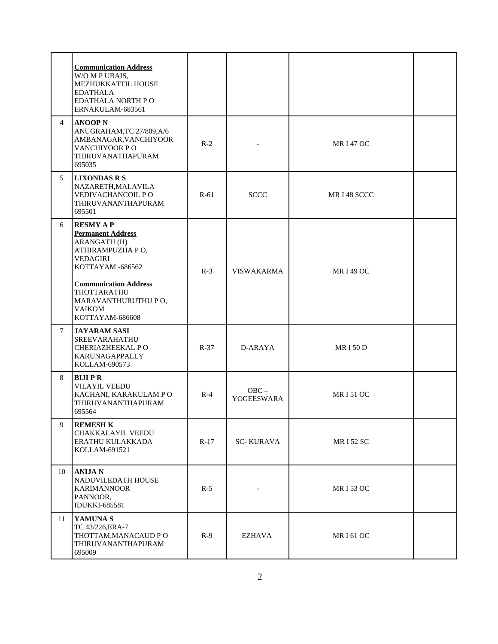|    | <b>Communication Address</b><br>W/O M P UBAIS,<br>MEZHUKKATTIL HOUSE<br>EDATHALA<br>EDATHALA NORTH PO<br>ERNAKULAM-683561                                                                                                                      |        |                       |                   |  |
|----|------------------------------------------------------------------------------------------------------------------------------------------------------------------------------------------------------------------------------------------------|--------|-----------------------|-------------------|--|
| 4  | <b>ANOOP N</b><br>ANUGRAHAM, TC 27/809, A/6<br>AMBANAGAR, VANCHIYOOR<br>VANCHIYOOR PO<br>THIRUVANATHAPURAM<br>695035                                                                                                                           | $R-2$  |                       | <b>MRI47OC</b>    |  |
| 5  | <b>LIXONDAS R S</b><br>NAZARETH, MALAVILA<br>VEDIVACHANCOIL PO<br>THIRUVANANTHAPURAM<br>695501                                                                                                                                                 | $R-61$ | <b>SCCC</b>           | MR I 48 SCCC      |  |
| 6  | <b>RESMY AP</b><br><b>Permanent Address</b><br><b>ARANGATH (H)</b><br>ATHIRAMPUZHA PO,<br><b>VEDAGIRI</b><br>KOTTAYAM -686562<br><b>Communication Address</b><br><b>THOTTARATHU</b><br>MARAVANTHURUTHU PO,<br><b>VAIKOM</b><br>KOTTAYAM-686608 | $R-3$  | <b>VISWAKARMA</b>     | <b>MRI49 OC</b>   |  |
| 7  | <b>JAYARAM SASI</b><br><b>SREEVARAHATHU</b><br>CHERIAZHEEKAL PO<br><b>KARUNAGAPPALLY</b><br>KOLLAM-690573                                                                                                                                      | $R-37$ | D-ARAYA               | <b>MRI50D</b>     |  |
| 8  | <b>BIJIPR</b><br><b>VILAYIL VEEDU</b><br>KACHANI, KARAKULAM PO<br>THIRUVANANTHAPURAM<br>695564                                                                                                                                                 | $R-4$  | $OBC -$<br>YOGEESWARA | <b>MR I 51 OC</b> |  |
| 9  | <b>REMESH K</b><br>CHAKKALAYIL VEEDU<br>ERATHU KULAKKADA<br>KOLLAM-691521                                                                                                                                                                      | $R-17$ | <b>SC-KURAVA</b>      | MR I 52 SC        |  |
| 10 | <b>ANIJAN</b><br>NADUVILEDATH HOUSE<br>KARIMANNOOR<br>PANNOOR,<br><b>IDUKKI-685581</b>                                                                                                                                                         | $R-5$  |                       | <b>MRI53 OC</b>   |  |
| 11 | <b>YAMUNA S</b><br>TC 43/226, ERA-7<br>THOTTAM, MANACAUD PO<br>THIRUVANANTHAPURAM<br>695009                                                                                                                                                    | $R-9$  | EZHAVA                | <b>MRI61OC</b>    |  |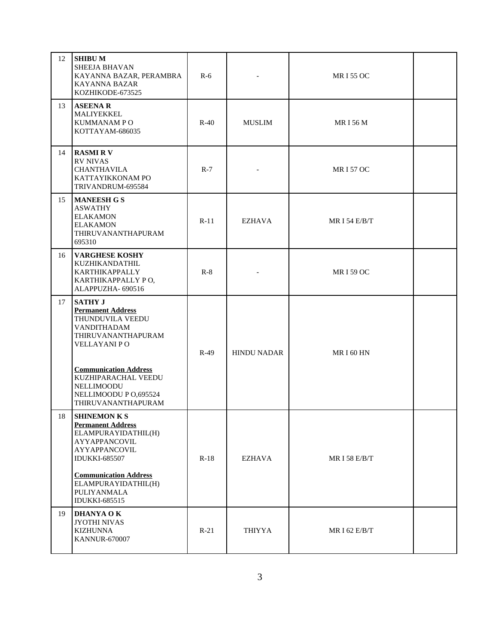| 12 | <b>SHIBU M</b><br><b>SHEEJA BHAVAN</b><br>KAYANNA BAZAR, PERAMBRA<br>KAYANNA BAZAR<br>KOZHIKODE-673525                           | $R-6$  |               | <b>MRI55 OC</b>  |  |
|----|----------------------------------------------------------------------------------------------------------------------------------|--------|---------------|------------------|--|
| 13 | <b>ASEENAR</b><br>MALIYEKKEL<br><b>KUMMANAMPO</b><br>KOTTAYAM-686035                                                             | $R-40$ | <b>MUSLIM</b> | <b>MRI56M</b>    |  |
| 14 | <b>RASMI RV</b><br><b>RV NIVAS</b><br><b>CHANTHAVILA</b><br>KATTAYIKKONAM PO<br>TRIVANDRUM-695584                                | $R-7$  |               | <b>MRI57OC</b>   |  |
| 15 | <b>MANEESH G S</b><br><b>ASWATHY</b><br><b>ELAKAMON</b><br><b>ELAKAMON</b><br>THIRUVANANTHAPURAM<br>695310                       | $R-11$ | EZHAVA        | MR I 54 E/B/T    |  |
| 16 | <b>VARGHESE KOSHY</b><br>KUZHIKANDATHIL<br>KARTHIKAPPALLY<br>KARTHIKAPPALLY PO,<br>ALAPPUZHA- 690516                             | $R-8$  |               | <b>MRI 59 OC</b> |  |
| 17 | <b>SATHY J</b><br><b>Permanent Address</b><br>THUNDUVILA VEEDU<br>VANDITHADAM<br>THIRUVANANTHAPURAM<br><b>VELLAYANIPO</b>        | $R-49$ | HINDU NADAR   | <b>MRI60 HN</b>  |  |
|    | <b>Communication Address</b><br>KUZHIPARACHAL VEEDU<br>NELLIMOODU<br>NELLIMOODU P 0,695524<br>THIRUVANANTHAPURAM                 |        |               |                  |  |
| 18 | <b>SHINEMON K S</b><br><b>Permanent Address</b><br>ELAMPURAYIDATHIL(H)<br>AYYAPPANCOVIL<br>AYYAPPANCOVIL<br><b>IDUKKI-685507</b> | $R-18$ | <b>EZHAVA</b> | MR I 58 E/B/T    |  |
|    | <b>Communication Address</b><br>ELAMPURAYIDATHIL(H)<br>PULIYANMALA<br><b>IDUKKI-685515</b>                                       |        |               |                  |  |
| 19 | <b>DHANYA OK</b><br>JYOTHI NIVAS<br><b>KIZHUNNA</b><br><b>KANNUR-670007</b>                                                      | $R-21$ | THIYYA        | MR I 62 E/B/T    |  |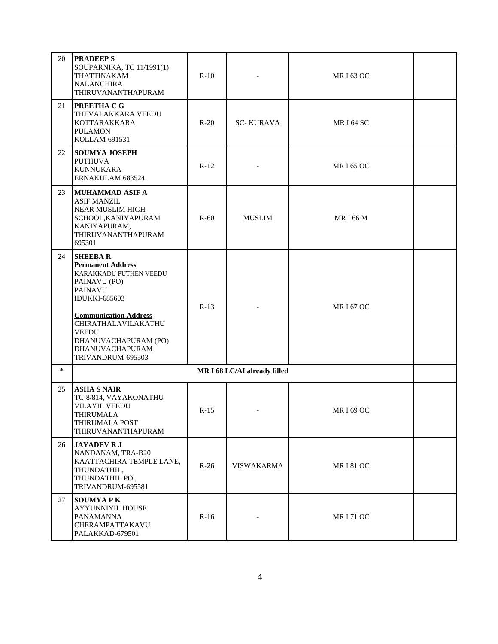| 20     | <b>PRADEEPS</b><br>SOUPARNIKA, TC 11/1991(1)<br>THATTINAKAM<br><b>NALANCHIRA</b><br>THIRUVANANTHAPURAM                                                                                                                                                         | $R-10$ |                              | <b>MRI63OC</b>   |  |
|--------|----------------------------------------------------------------------------------------------------------------------------------------------------------------------------------------------------------------------------------------------------------------|--------|------------------------------|------------------|--|
| 21     | PREETHA C G<br>THEVALAKKARA VEEDU<br>KOTTARAKKARA<br><b>PULAMON</b><br>KOLLAM-691531                                                                                                                                                                           | $R-20$ | SC-KURAVA                    | <b>MRI64 SC</b>  |  |
| 22     | <b>SOUMYA JOSEPH</b><br><b>PUTHUVA</b><br><b>KUNNUKARA</b><br>ERNAKULAM 683524                                                                                                                                                                                 | $R-12$ |                              | <b>MRI65 OC</b>  |  |
| 23     | <b>MUHAMMAD ASIF A</b><br><b>ASIF MANZIL</b><br><b>NEAR MUSLIM HIGH</b><br>SCHOOL, KANIYAPURAM<br>KANIYAPURAM,<br>THIRUVANANTHAPURAM<br>695301                                                                                                                 | $R-60$ |                              | <b>MRI66M</b>    |  |
| 24     | <b>SHEEBAR</b><br><b>Permanent Address</b><br>KARAKKADU PUTHEN VEEDU<br>PAINAVU (PO)<br>PAINAVU<br><b>IDUKKI-685603</b><br><b>Communication Address</b><br>CHIRATHALAVILAKATHU<br><b>VEEDU</b><br>DHANUVACHAPURAM (PO)<br>DHANUVACHAPURAM<br>TRIVANDRUM-695503 | $R-13$ |                              | <b>MRI67OC</b>   |  |
| $\ast$ |                                                                                                                                                                                                                                                                |        | MR I 68 LC/AI already filled |                  |  |
| 25     | <b>ASHA S NAIR</b><br>TC-8/814, VAYAKONATHU<br><b>VILAYIL VEEDU</b><br>THIRUMALA<br>THIRUMALA POST<br>THIRUVANANTHAPURAM                                                                                                                                       | $R-15$ |                              | <b>MRI69 OC</b>  |  |
| 26     | <b>JAYADEV R J</b><br>NANDANAM, TRA-B20<br>KAATTACHIRA TEMPLE LANE,<br>THUNDATHIL,<br>THUNDATHIL PO,<br>TRIVANDRUM-695581                                                                                                                                      | $R-26$ | VISWAKARMA                   | <b>MRI81OC</b>   |  |
| 27     | <b>SOUMYAPK</b><br>AYYUNNIYIL HOUSE<br><b>PANAMANNA</b><br>CHERAMPATTAKAVU<br>PALAKKAD-679501                                                                                                                                                                  | $R-16$ |                              | <b>MRI 71 OC</b> |  |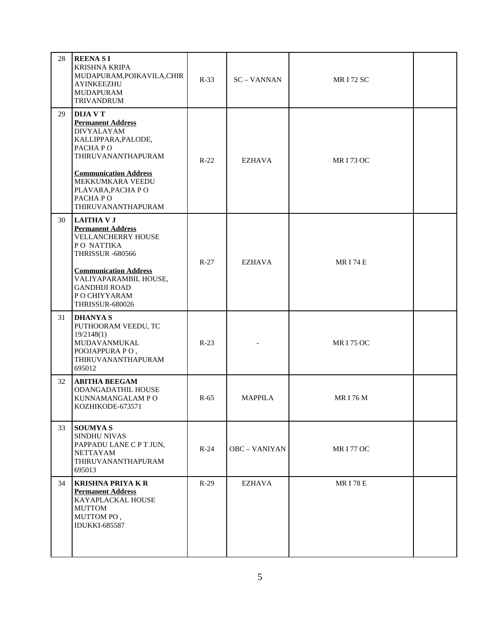| 28 | <b>REENASI</b><br>KRISHNA KRIPA<br>MUDAPURAM, POIKAVILA, CHIR<br><b>AYINKEEZHU</b><br>MUDAPURAM<br><b>TRIVANDRUM</b>      | $R-33$ | $SC - VANNAN$      | <b>MRI72 SC</b>  |  |
|----|---------------------------------------------------------------------------------------------------------------------------|--------|--------------------|------------------|--|
| 29 | <b>DIJA V T</b><br><b>Permanent Address</b><br><b>DIVYALAYAM</b><br>KALLIPPARA, PALODE,<br>PACHA PO<br>THIRUVANANTHAPURAM | $R-22$ | EZHAVA             | <b>MRI 73 OC</b> |  |
|    | <b>Communication Address</b><br>MEKKUMKARA VEEDU<br>PLAVARA, PACHA PO<br>PACHA PO<br>THIRUVANANTHAPURAM                   |        |                    |                  |  |
| 30 | <b>LAITHA V J</b><br><b>Permanent Address</b><br>VELLANCHERRY HOUSE<br>PO NATTIKA<br><b>THRISSUR -680566</b>              | $R-27$ | EZHAVA             | <b>MRI 74 E</b>  |  |
|    | <b>Communication Address</b><br>VALIYAPARAMBIL HOUSE,<br><b>GANDHIJI ROAD</b><br>P O CHIYYARAM<br><b>THRISSUR-680026</b>  |        |                    |                  |  |
| 31 | <b>DHANYA S</b><br>PUTHOORAM VEEDU, TC<br>19/2148(1)<br>MUDAVANMUKAL<br>POOJAPPURA PO,<br>THIRUVANANTHAPURAM<br>695012    | $R-23$ |                    | <b>MRI 75 OC</b> |  |
| 32 | <b>ABITHA BEEGAM</b><br><b>ODANGADATHIL HOUSE</b><br>KUNNAMANGALAM PO<br>KOZHIKODE-673571                                 | $R-65$ | <b>MAPPILA</b>     | <b>MRI76M</b>    |  |
| 33 | <b>SOUMYAS</b><br><b>SINDHU NIVAS</b><br>PAPPADU LANE C P T JUN,<br><b>NETTAYAM</b><br>THIRUVANANTHAPURAM<br>695013       | $R-24$ | <b>OBC-VANIYAN</b> | <b>MRI 77 OC</b> |  |
| 34 | <b>KRISHNA PRIYA K R</b><br><b>Permanent Address</b><br>KAYAPLACKAL HOUSE<br><b>MUTTOM</b><br>MUTTOM PO,<br>IDUKKI-685587 | $R-29$ | EZHAVA             | <b>MRI78E</b>    |  |
|    |                                                                                                                           |        |                    |                  |  |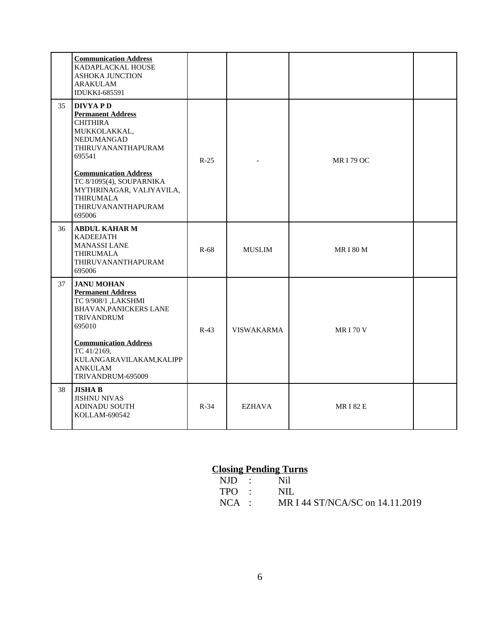|    | <b>Communication Address</b><br>KADAPLACKAL HOUSE<br><b>ASHOKA JUNCTION</b><br><b>ARAKULAM</b><br><b>IDUKKI-685591</b>                                      |        |                   |                  |  |
|----|-------------------------------------------------------------------------------------------------------------------------------------------------------------|--------|-------------------|------------------|--|
| 35 | <b>DIVYAPD</b><br><b>Permanent Address</b><br><b>CHITHIRA</b><br>MUKKOLAKKAL,<br>NEDUMANGAD<br>THIRUVANANTHAPURAM<br>695541<br><b>Communication Address</b> | $R-25$ |                   | <b>MRI 79 OC</b> |  |
|    | TC 8/1095(4), SOUPARNIKA<br>MYTHRINAGAR, VALIYAVILA,<br><b>THIRUMALA</b><br>THIRUVANANTHAPURAM<br>695006                                                    |        |                   |                  |  |
| 36 | <b>ABDUL KAHAR M</b><br><b>KADEEJATH</b><br><b>MANASSI LANE</b><br>THIRUMALA<br>THIRUVANANTHAPURAM<br>695006                                                | R-68   | <b>MUSLIM</b>     | <b>MRI80M</b>    |  |
| 37 | <b>JANU MOHAN</b><br><b>Permanent Address</b><br>TC 9/908/1, LAKSHMI<br>BHAVAN, PANICKERS LANE<br><b>TRIVANDRUM</b><br>695010                               | $R-43$ | <b>VISWAKARMA</b> | <b>MRI70V</b>    |  |
|    | <b>Communication Address</b><br>TC 41/2169,<br>KULANGARAVILAKAM, KALIPP<br><b>ANKULAM</b><br>TRIVANDRUM-695009                                              |        |                   |                  |  |
| 38 | <b>JISHA B</b><br><b>JISHNU NIVAS</b><br><b>ADINADU SOUTH</b><br>KOLLAM-690542                                                                              | $R-34$ | <b>EZHAVA</b>     | <b>MR I 82 E</b> |  |

#### **Closing Pending Turns**

|  | NJD : Nil                               |
|--|-----------------------------------------|
|  | TPO: NIL                                |
|  | $NCA$ : MR I 44 ST/NCA/SC on 14.11.2019 |